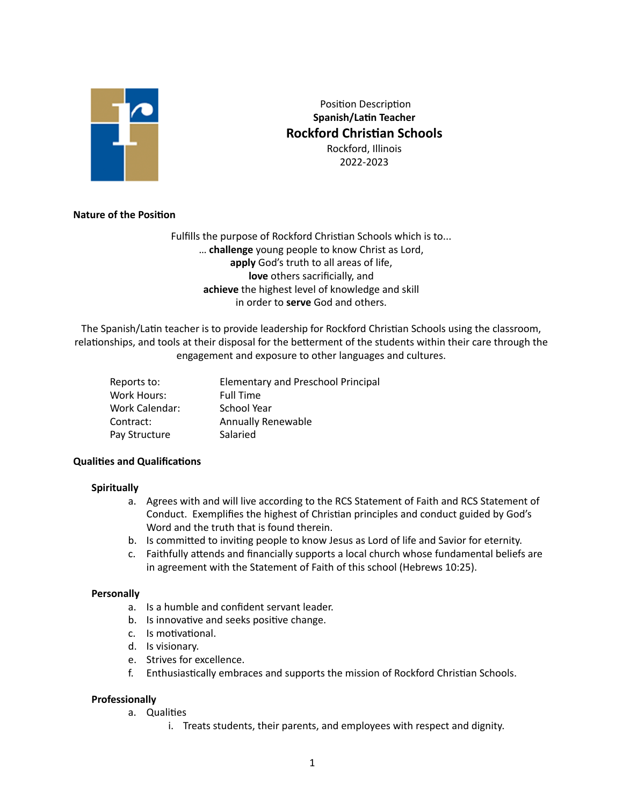

 Position Description **Spanish/Latin Teacher Rockford Christian Schools** Rockford, Illinois 2022-2023

# **Nature of the Position**

Fulfills the purpose of Rockford Christian Schools which is to... … **challenge** young people to know Christ as Lord, **apply** God's truth to all areas of life, **love** others sacrificially, and **achieve** the highest level of knowledge and skill in order to **serve** God and others.

The Spanish/Latin teacher is to provide leadership for Rockford Christian Schools using the classroom, relationships, and tools at their disposal for the betterment of the students within their care through the engagement and exposure to other languages and cultures.

| Reports to:    | <b>Elementary and Preschool Principal</b> |
|----------------|-------------------------------------------|
| Work Hours:    | <b>Full Time</b>                          |
| Work Calendar: | School Year                               |
| Contract:      | <b>Annually Renewable</b>                 |
| Pay Structure  | Salaried                                  |
|                |                                           |

### **Qualities and Qualifications**

### **Spiritually**

- a. Agrees with and will live according to the RCS Statement of Faith and RCS Statement of Conduct. Exemplifies the highest of Christian principles and conduct guided by God's Word and the truth that is found therein.
- b. Is committed to inviting people to know Jesus as Lord of life and Savior for eternity.
- c. Faithfully attends and financially supports a local church whose fundamental beliefs are in agreement with the Statement of Faith of this school (Hebrews 10:25).

### **Personally**

- a. Is a humble and confident servant leader.
- b. Is innovative and seeks positive change.
- c. Is motivational.
- d. Is visionary.
- e. Strives for excellence.
- f. Enthusiastically embraces and supports the mission of Rockford Christian Schools.

### **Professionally**

- a. Qualities
	- i. Treats students, their parents, and employees with respect and dignity.